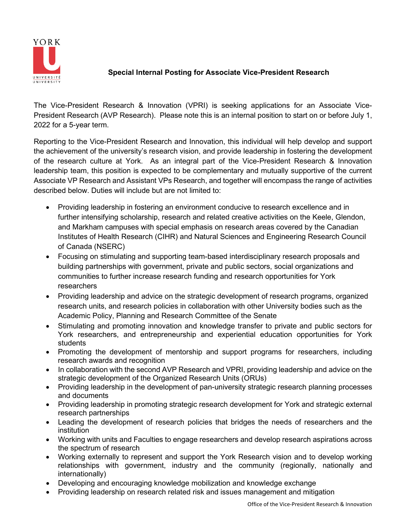

## **Special Internal Posting for Associate Vice-President Research**

The Vice-President Research & Innovation (VPRI) is seeking applications for an Associate Vice-President Research (AVP Research). Please note this is an internal position to start on or before July 1, 2022 for a 5-year term.

Reporting to the Vice-President Research and Innovation, this individual will help develop and support the achievement of the university's research vision, and provide leadership in fostering the development of the research culture at York. As an integral part of the Vice-President Research & Innovation leadership team, this position is expected to be complementary and mutually supportive of the current Associate VP Research and Assistant VPs Research, and together will encompass the range of activities described below. Duties will include but are not limited to:

- Providing leadership in fostering an environment conducive to research excellence and in further intensifying scholarship, research and related creative activities on the Keele, Glendon, and Markham campuses with special emphasis on research areas covered by the Canadian Institutes of Health Research (CIHR) and Natural Sciences and Engineering Research Council of Canada (NSERC)
- Focusing on stimulating and supporting team-based interdisciplinary research proposals and building partnerships with government, private and public sectors, social organizations and communities to further increase research funding and research opportunities for York researchers
- Providing leadership and advice on the strategic development of research programs, organized research units, and research policies in collaboration with other University bodies such as the Academic Policy, Planning and Research Committee of the Senate
- Stimulating and promoting innovation and knowledge transfer to private and public sectors for York researchers, and entrepreneurship and experiential education opportunities for York students
- Promoting the development of mentorship and support programs for researchers, including research awards and recognition
- In collaboration with the second AVP Research and VPRI, providing leadership and advice on the strategic development of the Organized Research Units (ORUs)
- Providing leadership in the development of pan-university strategic research planning processes and documents
- Providing leadership in promoting strategic research development for York and strategic external research partnerships
- Leading the development of research policies that bridges the needs of researchers and the institution
- Working with units and Faculties to engage researchers and develop research aspirations across the spectrum of research
- Working externally to represent and support the York Research vision and to develop working relationships with government, industry and the community (regionally, nationally and internationally)
- Developing and encouraging knowledge mobilization and knowledge exchange
- Providing leadership on research related risk and issues management and mitigation